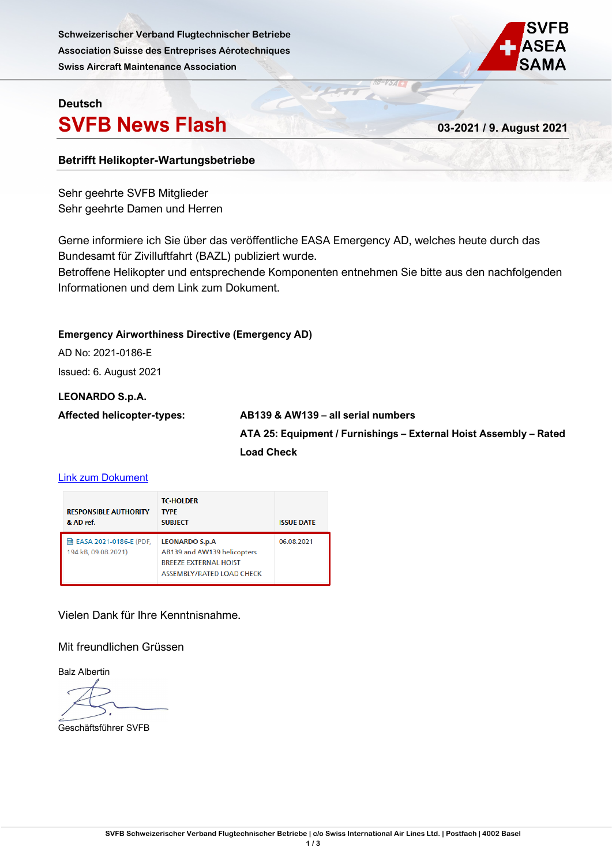**Schweizerischer Verband Flugtechnischer Betriebe Association Suisse des Entreprises Aérotechniques Swiss Aircraft Maintenance Association**



## **Deutsch**

## **SVFB News Flash 1988 03-2021** / 9. August 2021

### **Betrifft Helikopter-Wartungsbetriebe**

Sehr geehrte SVFB Mitglieder Sehr geehrte Damen und Herren

Gerne informiere ich Sie über das veröffentliche EASA Emergency AD, welches heute durch das Bundesamt für Zivilluftfahrt (BAZL) publiziert wurde.

Betroffene Helikopter und entsprechende Komponenten entnehmen Sie bitte aus den nachfolgenden Informationen und dem Link zum Dokument.

#### **Emergency Airworthiness Directive (Emergency AD)**

AD No: 2021-0186-E

Issued: 6. August 2021

#### **LEONARDO S.p.A.**

**Affected helicopter-types: AB139 & AW139 – all serial numbers**

**ATA 25: Equipment / Furnishings – External Hoist Assembly – Rated Load Check**

### [Link zum Dokument](https://www.bazl.admin.ch/bazl/de/home/fachleute/luftfahrzeuge/lufttuechtigkeitsanweisungen--lta-/emergency-airworthiness-directives--ead-.html)

| <b>RESPONSIBLE AUTHORITY</b><br>& AD ref.              | <b>TC-HOLDER</b><br><b>TYPF</b><br><b>SUBJECT</b>                                                                 | <b>ISSUE DATE</b> |
|--------------------------------------------------------|-------------------------------------------------------------------------------------------------------------------|-------------------|
| <b>园 EASA 2021-0186-E (PDF,</b><br>194 kB. 09.08.2021) | <b>LEONARDO S.p.A</b><br>AB139 and AW139 helicopters<br><b>BREEZE EXTERNAL HOIST</b><br>ASSEMBLY/RATED LOAD CHECK | 06.08.2021        |

Vielen Dank für Ihre Kenntnisnahme.

Mit freundlichen Grüssen

Balz Albertin

Geschäftsführer SVFB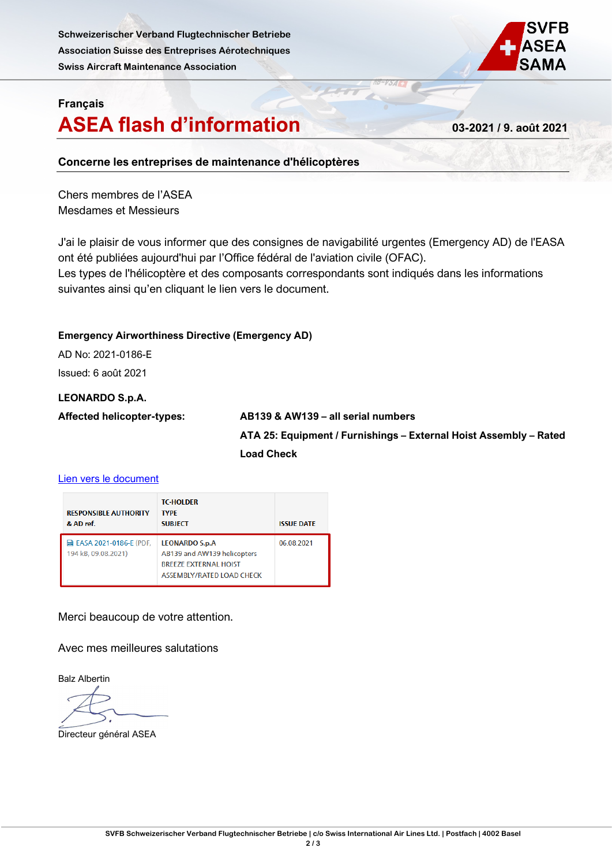**Schweizerischer Verband Flugtechnischer Betriebe Association Suisse des Entreprises Aérotechniques Swiss Aircraft Maintenance Association**



## **Français**

## **ASEA flash d'information 03-2021 / 9. août 2021**

## **Concerne les entreprises de maintenance d'hélicoptères**

Chers membres de l'ASEA Mesdames et Messieurs

J'ai le plaisir de vous informer que des consignes de navigabilité urgentes (Emergency AD) de l'EASA ont été publiées aujourd'hui par l'Office fédéral de l'aviation civile (OFAC). Les types de l'hélicoptère et des composants correspondants sont indiqués dans les informations suivantes ainsi qu'en cliquant le lien vers le document.

## **Emergency Airworthiness Directive (Emergency AD)**

AD No: 2021-0186-E Issued: 6 août 2021

## **LEONARDO S.p.A.**

## **Affected helicopter-types: AB139 & AW139 – all serial numbers**

**ATA 25: Equipment / Furnishings – External Hoist Assembly – Rated Load Check**

#### [Lien vers le document](https://www.bazl.admin.ch/bazl/fr/home/experts/aeronefs/consignes-de-navigabilite--cn-/emergency-airworthiness-directives--ead-.html)

| <b>RESPONSIBLE AUTHORITY</b><br>& AD ref.       | <b>TC-HOLDER</b><br><b>TYPF</b><br><b>SUBJECT</b>                                                                 | <b>ISSUE DATE</b> |
|-------------------------------------------------|-------------------------------------------------------------------------------------------------------------------|-------------------|
| 园 EASA 2021-0186-E (PDF,<br>194 kB. 09.08.2021) | <b>LEONARDO S.p.A</b><br>AB139 and AW139 helicopters<br><b>BREEZE EXTERNAL HOIST</b><br>ASSEMBLY/RATED LOAD CHECK | 06.08.2021        |

Merci beaucoup de votre attention.

Avec mes meilleures salutations

Balz Albertin

Directeur général ASEA